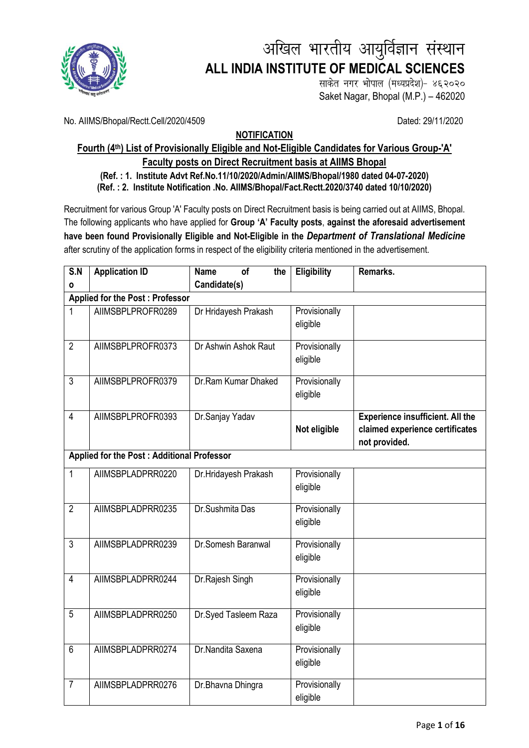

# अखिल भारतीय आयुर्विज्ञान संस्थान **ALL INDIA INSTITUTE OF MEDICAL SCIENCES**

साकेत नगर भोपाल (मध्यप्रदेश)- ४६२०२० Saket Nagar, Bhopal (M.P.) – 462020

No. AIIMS/Bhopal/Rectt.Cell/2020/4509 Dated: 29/11/2020

## **NOTIFICATION**

## **Fourth (4<sup>th</sup>) List of Provisionally Eligible and Not-Eligible Candidates for Various Group-'A' Faculty posts on Direct Recruitment basis at AIIMS Bhopal**

### **(Ref. : 1. Institute Advt Ref.No.11/10/2020/Admin/AIIMS/Bhopal/1980 dated 04-07-2020) (Ref. : 2. Institute Notification .No. AIIMS/Bhopal/Fact.Rectt.2020/3740 dated 10/10/2020)**

Recruitment for various Group 'A' Faculty posts on Direct Recruitment basis is being carried out at AIIMS, Bhopal. The following applicants who have applied for **Group 'A' Faculty posts**, **against the aforesaid advertisement have been found Provisionally Eligible and Not-Eligible in the** *Department of Translational Medicine* after scrutiny of the application forms in respect of the eligibility criteria mentioned in the advertisement.

| S.N            | <b>Application ID</b>                             | <b>Name</b><br>of<br>the | Eligibility   | Remarks.                                         |
|----------------|---------------------------------------------------|--------------------------|---------------|--------------------------------------------------|
| ٥              |                                                   | Candidate(s)             |               |                                                  |
|                | <b>Applied for the Post: Professor</b>            |                          |               |                                                  |
| 1              | AIIMSBPLPROFR0289                                 | Dr Hridayesh Prakash     | Provisionally |                                                  |
|                |                                                   |                          | eligible      |                                                  |
| $\overline{2}$ | AIIMSBPLPROFR0373                                 | Dr Ashwin Ashok Raut     | Provisionally |                                                  |
|                |                                                   |                          | eligible      |                                                  |
|                |                                                   |                          |               |                                                  |
| $\overline{3}$ | AIIMSBPLPROFR0379                                 | Dr.Ram Kumar Dhaked      | Provisionally |                                                  |
|                |                                                   |                          | eligible      |                                                  |
|                |                                                   |                          |               |                                                  |
| $\overline{4}$ | AIIMSBPLPROFR0393                                 | Dr.Sanjay Yadav          |               | <b>Experience insufficient. All the</b>          |
|                |                                                   |                          | Not eligible  | claimed experience certificates<br>not provided. |
|                | <b>Applied for the Post: Additional Professor</b> |                          |               |                                                  |
|                |                                                   |                          |               |                                                  |
| $\mathbf{1}$   | AIIMSBPLADPRR0220                                 | Dr.Hridayesh Prakash     | Provisionally |                                                  |
|                |                                                   |                          | eligible      |                                                  |
| $\overline{2}$ | AIIMSBPLADPRR0235                                 | Dr.Sushmita Das          | Provisionally |                                                  |
|                |                                                   |                          | eligible      |                                                  |
|                |                                                   |                          |               |                                                  |
| $\overline{3}$ | AIIMSBPLADPRR0239                                 | Dr.Somesh Baranwal       | Provisionally |                                                  |
|                |                                                   |                          | eligible      |                                                  |
| $\overline{4}$ | AIIMSBPLADPRR0244                                 | Dr.Rajesh Singh          | Provisionally |                                                  |
|                |                                                   |                          | eligible      |                                                  |
|                |                                                   |                          |               |                                                  |
| $\overline{5}$ | AIIMSBPLADPRR0250                                 | Dr.Syed Tasleem Raza     | Provisionally |                                                  |
|                |                                                   |                          | eligible      |                                                  |
| $6\phantom{1}$ | AIIMSBPLADPRR0274                                 | Dr.Nandita Saxena        | Provisionally |                                                  |
|                |                                                   |                          | eligible      |                                                  |
|                |                                                   |                          |               |                                                  |
| $\overline{7}$ | AIIMSBPLADPRR0276                                 | Dr.Bhavna Dhingra        | Provisionally |                                                  |
|                |                                                   |                          | eligible      |                                                  |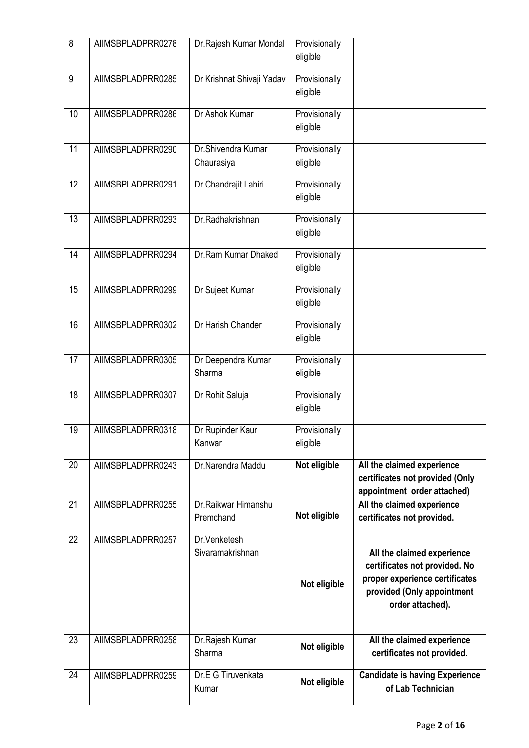| 8               | AIIMSBPLADPRR0278 | Dr.Rajesh Kumar Mondal           | Provisionally<br>eligible |                                                                                                                                                 |
|-----------------|-------------------|----------------------------------|---------------------------|-------------------------------------------------------------------------------------------------------------------------------------------------|
| 9               | AIIMSBPLADPRR0285 | Dr Krishnat Shivaji Yadav        | Provisionally<br>eligible |                                                                                                                                                 |
| 10              | AIIMSBPLADPRR0286 | Dr Ashok Kumar                   | Provisionally<br>eligible |                                                                                                                                                 |
| 11              | AIIMSBPLADPRR0290 | Dr.Shivendra Kumar<br>Chaurasiya | Provisionally<br>eligible |                                                                                                                                                 |
| $\overline{12}$ | AIIMSBPLADPRR0291 | Dr.Chandrajit Lahiri             | Provisionally<br>eligible |                                                                                                                                                 |
| $\overline{13}$ | AIIMSBPLADPRR0293 | Dr.Radhakrishnan                 | Provisionally<br>eligible |                                                                                                                                                 |
| 14              | AIIMSBPLADPRR0294 | Dr.Ram Kumar Dhaked              | Provisionally<br>eligible |                                                                                                                                                 |
| 15              | AIIMSBPLADPRR0299 | Dr Sujeet Kumar                  | Provisionally<br>eligible |                                                                                                                                                 |
| 16              | AIIMSBPLADPRR0302 | Dr Harish Chander                | Provisionally<br>eligible |                                                                                                                                                 |
| 17              | AIIMSBPLADPRR0305 | Dr Deependra Kumar<br>Sharma     | Provisionally<br>eligible |                                                                                                                                                 |
| 18              | AIIMSBPLADPRR0307 | Dr Rohit Saluja                  | Provisionally<br>eligible |                                                                                                                                                 |
| 19              | AIIMSBPLADPRR0318 | Dr Rupinder Kaur<br>Kanwar       | Provisionally<br>eligible |                                                                                                                                                 |
| 20              | AIIMSBPLADPRR0243 | Dr.Narendra Maddu                | Not eligible              | All the claimed experience<br>certificates not provided (Only<br>appointment order attached)                                                    |
| 21              | AIIMSBPLADPRR0255 | Dr.Raikwar Himanshu<br>Premchand | Not eligible              | All the claimed experience<br>certificates not provided.                                                                                        |
| 22              | AIIMSBPLADPRR0257 | Dr.Venketesh<br>Sivaramakrishnan | Not eligible              | All the claimed experience<br>certificates not provided. No<br>proper experience certificates<br>provided (Only appointment<br>order attached). |
| 23              | AIIMSBPLADPRR0258 | Dr.Rajesh Kumar<br>Sharma        | Not eligible              | All the claimed experience<br>certificates not provided.                                                                                        |
| 24              | AIIMSBPLADPRR0259 | Dr.E G Tiruvenkata<br>Kumar      | Not eligible              | <b>Candidate is having Experience</b><br>of Lab Technician                                                                                      |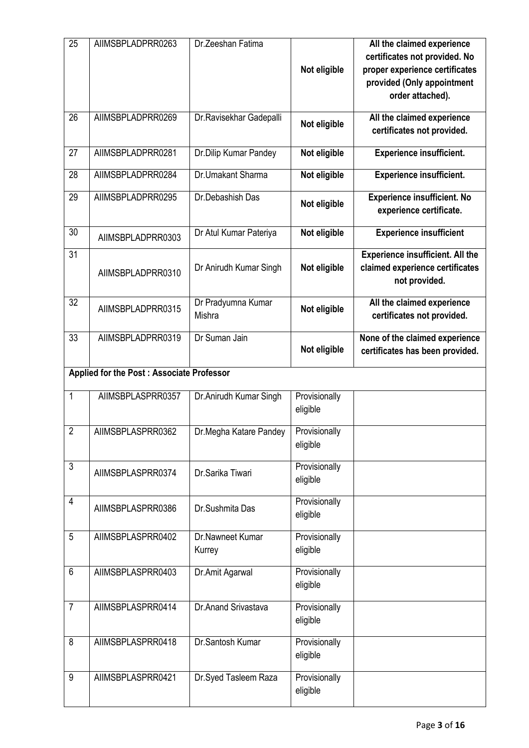| 25              | AIIMSBPLADPRR0263                         | Dr.Zeeshan Fatima            | Not eligible              | All the claimed experience<br>certificates not provided. No<br>proper experience certificates<br>provided (Only appointment<br>order attached). |
|-----------------|-------------------------------------------|------------------------------|---------------------------|-------------------------------------------------------------------------------------------------------------------------------------------------|
| 26              | AIIMSBPLADPRR0269                         | Dr. Ravisekhar Gadepalli     | Not eligible              | All the claimed experience<br>certificates not provided.                                                                                        |
| 27              | AIIMSBPLADPRR0281                         | Dr.Dilip Kumar Pandey        | Not eligible              | <b>Experience insufficient.</b>                                                                                                                 |
| 28              | AIIMSBPLADPRR0284                         | Dr.Umakant Sharma            | Not eligible              | <b>Experience insufficient.</b>                                                                                                                 |
| 29              | AIIMSBPLADPRR0295                         | Dr.Debashish Das             | Not eligible              | <b>Experience insufficient. No</b><br>experience certificate.                                                                                   |
| 30              | AIIMSBPLADPRR0303                         | Dr Atul Kumar Pateriya       | Not eligible              | <b>Experience insufficient</b>                                                                                                                  |
| $\overline{31}$ | AIIMSBPLADPRR0310                         | Dr Anirudh Kumar Singh       | Not eligible              | <b>Experience insufficient. All the</b><br>claimed experience certificates<br>not provided.                                                     |
| 32              | AIIMSBPLADPRR0315                         | Dr Pradyumna Kumar<br>Mishra | Not eligible              | All the claimed experience<br>certificates not provided.                                                                                        |
| 33              | AIIMSBPLADPRR0319                         | Dr Suman Jain                | Not eligible              | None of the claimed experience<br>certificates has been provided.                                                                               |
|                 | Applied for the Post: Associate Professor |                              |                           |                                                                                                                                                 |
| 1               | AIIMSBPLASPRR0357                         | Dr.Anirudh Kumar Singh       | Provisionally<br>eligible |                                                                                                                                                 |
| $\overline{2}$  | AIIMSBPLASPRR0362                         | Dr.Megha Katare Pandey       | Provisionally<br>eligible |                                                                                                                                                 |
| 3               | AIIMSBPLASPRR0374                         | Dr.Sarika Tiwari             | Provisionally<br>eligible |                                                                                                                                                 |
| 4               | AIIMSBPLASPRR0386                         | Dr.Sushmita Das              | Provisionally<br>eligible |                                                                                                                                                 |
| 5               | AIIMSBPLASPRR0402                         | Dr.Nawneet Kumar<br>Kurrey   | Provisionally<br>eligible |                                                                                                                                                 |
| 6               | AIIMSBPLASPRR0403                         | Dr.Amit Agarwal              | Provisionally<br>eligible |                                                                                                                                                 |
| $\overline{7}$  | AIIMSBPLASPRR0414                         | Dr.Anand Srivastava          | Provisionally<br>eligible |                                                                                                                                                 |
| 8               | AIIMSBPLASPRR0418                         | Dr.Santosh Kumar             | Provisionally<br>eligible |                                                                                                                                                 |
| 9               | AIIMSBPLASPRR0421                         | Dr.Syed Tasleem Raza         | Provisionally<br>eligible |                                                                                                                                                 |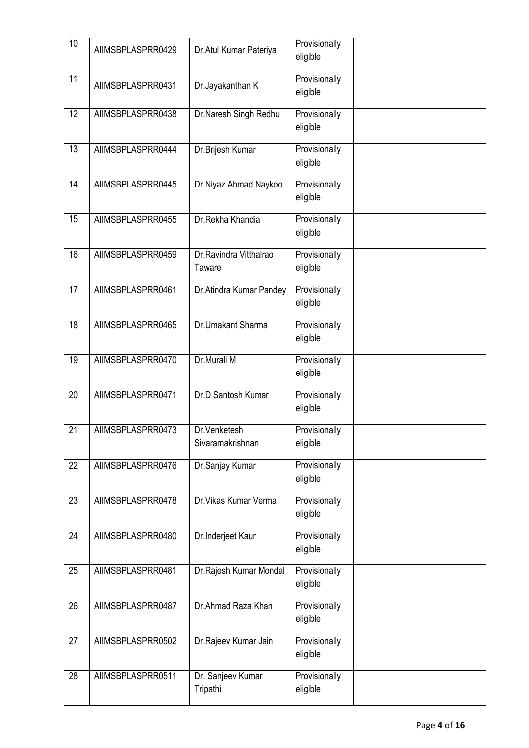| 10              | AIIMSBPLASPRR0429 | Dr. Atul Kumar Pateriya           | Provisionally<br>eligible |  |
|-----------------|-------------------|-----------------------------------|---------------------------|--|
| 11              | AIIMSBPLASPRR0431 | Dr.Jayakanthan K                  | Provisionally<br>eligible |  |
| 12              | AIIMSBPLASPRR0438 | Dr.Naresh Singh Redhu             | Provisionally<br>eligible |  |
| $\overline{13}$ | AIIMSBPLASPRR0444 | Dr.Brijesh Kumar                  | Provisionally<br>eligible |  |
| 14              | AIIMSBPLASPRR0445 | Dr.Niyaz Ahmad Naykoo             | Provisionally<br>eligible |  |
| 15              | AIIMSBPLASPRR0455 | Dr.Rekha Khandia                  | Provisionally<br>eligible |  |
| 16              | AIIMSBPLASPRR0459 | Dr. Ravindra Vitthalrao<br>Taware | Provisionally<br>eligible |  |
| $\overline{17}$ | AIIMSBPLASPRR0461 | Dr. Atindra Kumar Pandey          | Provisionally<br>eligible |  |
| 18              | AIIMSBPLASPRR0465 | Dr.Umakant Sharma                 | Provisionally<br>eligible |  |
| 19              | AIIMSBPLASPRR0470 | Dr.Murali M                       | Provisionally<br>eligible |  |
| 20              | AIIMSBPLASPRR0471 | Dr.D Santosh Kumar                | Provisionally<br>eligible |  |
| 21              | AIIMSBPLASPRR0473 | Dr.Venketesh<br>Sivaramakrishnan  | Provisionally<br>eligible |  |
| 22              | AIIMSBPLASPRR0476 | Dr.Sanjay Kumar                   | Provisionally<br>eligible |  |
| 23              | AIIMSBPLASPRR0478 | Dr. Vikas Kumar Verma             | Provisionally<br>eligible |  |
| 24              | AIIMSBPLASPRR0480 | Dr.Inderjeet Kaur                 | Provisionally<br>eligible |  |
| 25              | AIIMSBPLASPRR0481 | Dr.Rajesh Kumar Mondal            | Provisionally<br>eligible |  |
| 26              | AIIMSBPLASPRR0487 | Dr.Ahmad Raza Khan                | Provisionally<br>eligible |  |
| 27              | AIIMSBPLASPRR0502 | Dr.Rajeev Kumar Jain              | Provisionally<br>eligible |  |
| $\overline{28}$ | AIIMSBPLASPRR0511 | Dr. Sanjeev Kumar<br>Tripathi     | Provisionally<br>eligible |  |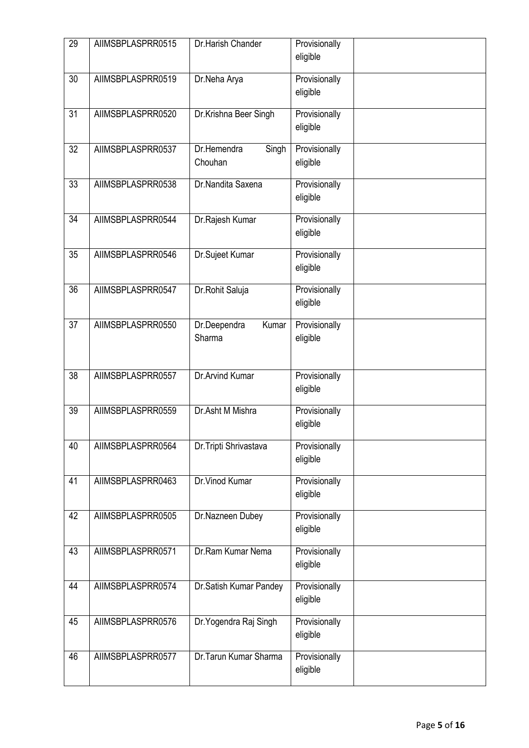| 29              | AIIMSBPLASPRR0515 | Dr.Harish Chander               | Provisionally<br>eligible |  |
|-----------------|-------------------|---------------------------------|---------------------------|--|
| 30              | AIIMSBPLASPRR0519 | Dr.Neha Arya                    | Provisionally<br>eligible |  |
| 31              | AIIMSBPLASPRR0520 | Dr.Krishna Beer Singh           | Provisionally<br>eligible |  |
| $\overline{32}$ | AIIMSBPLASPRR0537 | Dr.Hemendra<br>Singh<br>Chouhan | Provisionally<br>eligible |  |
| 33              | AIIMSBPLASPRR0538 | Dr.Nandita Saxena               | Provisionally<br>eligible |  |
| $\overline{34}$ | AIIMSBPLASPRR0544 | Dr.Rajesh Kumar                 | Provisionally<br>eligible |  |
| 35              | AIIMSBPLASPRR0546 | Dr.Sujeet Kumar                 | Provisionally<br>eligible |  |
| 36              | AIIMSBPLASPRR0547 | Dr.Rohit Saluja                 | Provisionally<br>eligible |  |
| 37              | AIIMSBPLASPRR0550 | Kumar<br>Dr.Deependra<br>Sharma | Provisionally<br>eligible |  |
| $\overline{38}$ | AIIMSBPLASPRR0557 | Dr.Arvind Kumar                 | Provisionally<br>eligible |  |
| 39              | AIIMSBPLASPRR0559 | Dr.Asht M Mishra                | Provisionally<br>eligible |  |
| 40              | AIIMSBPLASPRR0564 | Dr. Tripti Shrivastava          | Provisionally<br>eligible |  |
| 41              | AIIMSBPLASPRR0463 | Dr. Vinod Kumar                 | Provisionally<br>eligible |  |
| 42              | AIIMSBPLASPRR0505 | Dr.Nazneen Dubey                | Provisionally<br>eligible |  |
| 43              | AIIMSBPLASPRR0571 | Dr.Ram Kumar Nema               | Provisionally<br>eligible |  |
| 44              | AIIMSBPLASPRR0574 | Dr.Satish Kumar Pandey          | Provisionally<br>eligible |  |
| 45              | AIIMSBPLASPRR0576 | Dr. Yogendra Raj Singh          | Provisionally<br>eligible |  |
| 46              | AIIMSBPLASPRR0577 | Dr. Tarun Kumar Sharma          | Provisionally<br>eligible |  |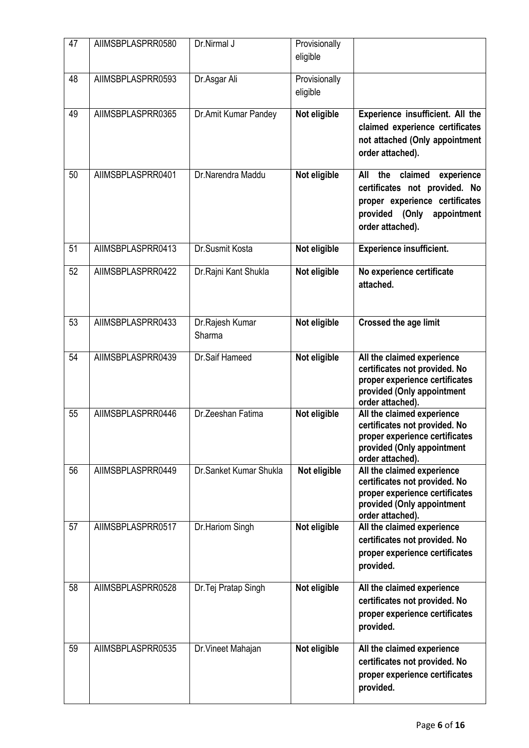| 47 | AIIMSBPLASPRR0580 | Dr.Nirmal J               | Provisionally<br>eligible |                                                                                                                                                          |
|----|-------------------|---------------------------|---------------------------|----------------------------------------------------------------------------------------------------------------------------------------------------------|
| 48 | AIIMSBPLASPRR0593 | Dr.Asgar Ali              | Provisionally<br>eligible |                                                                                                                                                          |
| 49 | AIIMSBPLASPRR0365 | Dr.Amit Kumar Pandey      | Not eligible              | Experience insufficient. All the<br>claimed experience certificates<br>not attached (Only appointment<br>order attached).                                |
| 50 | AIIMSBPLASPRR0401 | Dr.Narendra Maddu         | Not eligible              | the<br>claimed<br>All<br>experience<br>certificates not provided. No<br>proper experience certificates<br>provided (Only appointment<br>order attached). |
| 51 | AIIMSBPLASPRR0413 | Dr.Susmit Kosta           | Not eligible              | <b>Experience insufficient.</b>                                                                                                                          |
| 52 | AIIMSBPLASPRR0422 | Dr. Rajni Kant Shukla     | Not eligible              | No experience certificate<br>attached.                                                                                                                   |
| 53 | AIIMSBPLASPRR0433 | Dr.Rajesh Kumar<br>Sharma | Not eligible              | <b>Crossed the age limit</b>                                                                                                                             |
| 54 | AIIMSBPLASPRR0439 | Dr.Saif Hameed            | Not eligible              | All the claimed experience<br>certificates not provided. No<br>proper experience certificates<br>provided (Only appointment<br>order attached).          |
| 55 | AIIMSBPLASPRR0446 | Dr.Zeeshan Fatima         | Not eligible              | All the claimed experience<br>certificates not provided. No<br>proper experience certificates<br>provided (Only appointment<br>order attached).          |
| 56 | AIIMSBPLASPRR0449 | Dr.Sanket Kumar Shukla    | Not eligible              | All the claimed experience<br>certificates not provided. No<br>proper experience certificates<br>provided (Only appointment<br>order attached).          |
| 57 | AIIMSBPLASPRR0517 | Dr.Hariom Singh           | Not eligible              | All the claimed experience<br>certificates not provided. No<br>proper experience certificates<br>provided.                                               |
| 58 | AIIMSBPLASPRR0528 | Dr. Tej Pratap Singh      | Not eligible              | All the claimed experience<br>certificates not provided. No<br>proper experience certificates<br>provided.                                               |
| 59 | AIIMSBPLASPRR0535 | Dr. Vineet Mahajan        | Not eligible              | All the claimed experience<br>certificates not provided. No<br>proper experience certificates<br>provided.                                               |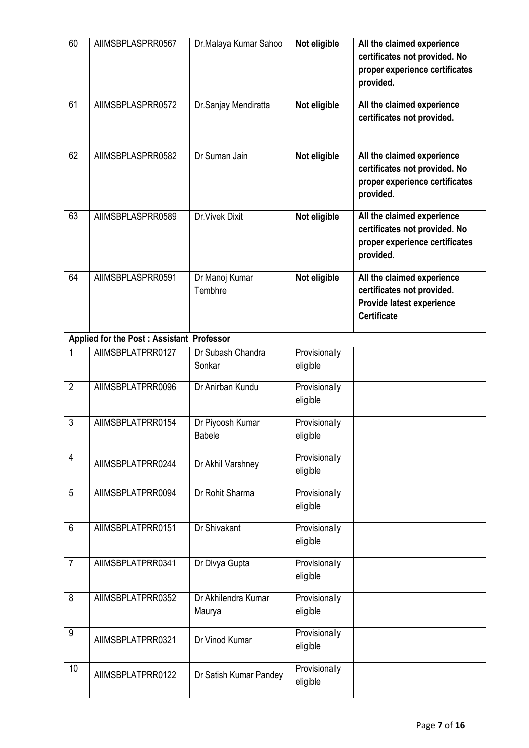| 60             | AIIMSBPLASPRR0567                         | Dr.Malaya Kumar Sahoo         | Not eligible              | All the claimed experience<br>certificates not provided. No<br>proper experience certificates<br>provided.  |
|----------------|-------------------------------------------|-------------------------------|---------------------------|-------------------------------------------------------------------------------------------------------------|
| 61             | AIIMSBPLASPRR0572                         | Dr.Sanjay Mendiratta          | Not eligible              | All the claimed experience<br>certificates not provided.                                                    |
| 62             | AIIMSBPLASPRR0582                         | Dr Suman Jain                 | Not eligible              | All the claimed experience<br>certificates not provided. No<br>proper experience certificates<br>provided.  |
| 63             | AIIMSBPLASPRR0589                         | <b>Dr. Vivek Dixit</b>        | Not eligible              | All the claimed experience<br>certificates not provided. No<br>proper experience certificates<br>provided.  |
| 64             | AIIMSBPLASPRR0591                         | Dr Manoj Kumar<br>Tembhre     | Not eligible              | All the claimed experience<br>certificates not provided.<br>Provide latest experience<br><b>Certificate</b> |
|                | Applied for the Post: Assistant Professor |                               |                           |                                                                                                             |
| 1              | AIIMSBPLATPRR0127                         | Dr Subash Chandra<br>Sonkar   | Provisionally<br>eligible |                                                                                                             |
| $\overline{2}$ | AIIMSBPLATPRR0096                         | Dr Anirban Kundu              | Provisionally<br>eligible |                                                                                                             |
| $\overline{3}$ | AIIMSBPLATPRR0154                         | Dr Piyoosh Kumar<br>Babele    | Provisionally<br>eligible |                                                                                                             |
| 4              | AIIMSBPLATPRR0244                         | Dr Akhil Varshney             | Provisionally<br>eligible |                                                                                                             |
| 5              | AIIMSBPLATPRR0094                         | Dr Rohit Sharma               | Provisionally<br>eligible |                                                                                                             |
| 6              | AIIMSBPLATPRR0151                         | Dr Shivakant                  | Provisionally<br>eligible |                                                                                                             |
| $\overline{7}$ | AIIMSBPLATPRR0341                         | Dr Divya Gupta                | Provisionally<br>eligible |                                                                                                             |
| 8              | AIIMSBPLATPRR0352                         | Dr Akhilendra Kumar<br>Maurya | Provisionally<br>eligible |                                                                                                             |
| 9              | AIIMSBPLATPRR0321                         | Dr Vinod Kumar                | Provisionally<br>eligible |                                                                                                             |
| 10             | AIIMSBPLATPRR0122                         | Dr Satish Kumar Pandey        | Provisionally<br>eligible |                                                                                                             |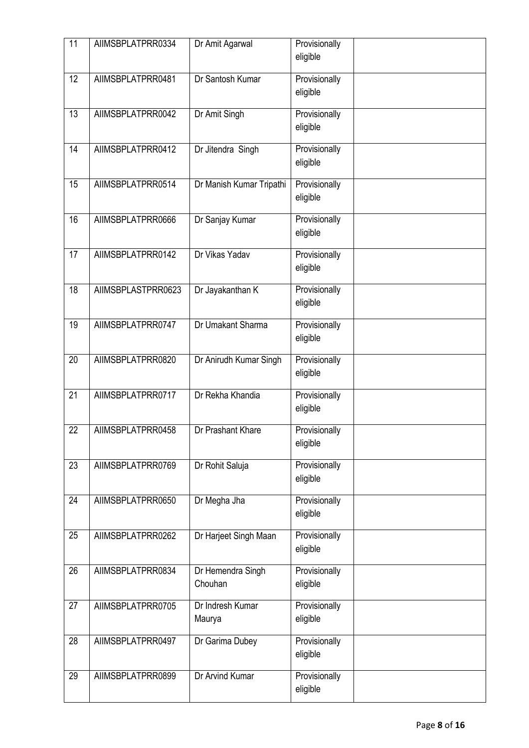| 11              | AIIMSBPLATPRR0334  | Dr Amit Agarwal              | Provisionally<br>eligible |
|-----------------|--------------------|------------------------------|---------------------------|
| 12              | AIIMSBPLATPRR0481  | Dr Santosh Kumar             | Provisionally<br>eligible |
| 13              | AIIMSBPLATPRR0042  | Dr Amit Singh                | Provisionally<br>eligible |
| $\overline{14}$ | AIIMSBPLATPRR0412  | Dr Jitendra Singh            | Provisionally<br>eligible |
| 15              | AIIMSBPLATPRR0514  | Dr Manish Kumar Tripathi     | Provisionally<br>eligible |
| 16              | AIIMSBPLATPRR0666  | Dr Sanjay Kumar              | Provisionally<br>eligible |
| 17              | AIIMSBPLATPRR0142  | Dr Vikas Yadav               | Provisionally<br>eligible |
| $\overline{18}$ | AIIMSBPLASTPRR0623 | Dr Jayakanthan K             | Provisionally<br>eligible |
| 19              | AIIMSBPLATPRR0747  | Dr Umakant Sharma            | Provisionally<br>eligible |
| 20              | AIIMSBPLATPRR0820  | Dr Anirudh Kumar Singh       | Provisionally<br>eligible |
| 21              | AIIMSBPLATPRR0717  | Dr Rekha Khandia             | Provisionally<br>eligible |
| 22              | AIIMSBPLATPRR0458  | Dr Prashant Khare            | Provisionally<br>eligible |
| 23              | AIIMSBPLATPRR0769  | Dr Rohit Saluja              | Provisionally<br>eligible |
| 24              | AIIMSBPLATPRR0650  | Dr Megha Jha                 | Provisionally<br>eligible |
| 25              | AIIMSBPLATPRR0262  | Dr Harjeet Singh Maan        | Provisionally<br>eligible |
| 26              | AIIMSBPLATPRR0834  | Dr Hemendra Singh<br>Chouhan | Provisionally<br>eligible |
| 27              | AIIMSBPLATPRR0705  | Dr Indresh Kumar<br>Maurya   | Provisionally<br>eligible |
| 28              | AIIMSBPLATPRR0497  | Dr Garima Dubey              | Provisionally<br>eligible |
| 29              | AIIMSBPLATPRR0899  | Dr Arvind Kumar              | Provisionally<br>eligible |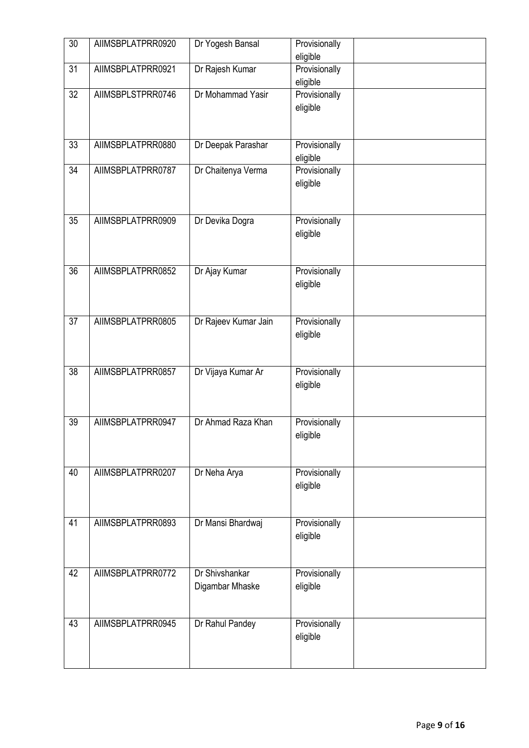| $\overline{30}$ | AIIMSBPLATPRR0920 | Dr Yogesh Bansal                  | Provisionally<br>eligible |  |
|-----------------|-------------------|-----------------------------------|---------------------------|--|
| 31              | AIIMSBPLATPRR0921 | Dr Rajesh Kumar                   | Provisionally<br>eligible |  |
| $\overline{32}$ | AIIMSBPLSTPRR0746 | Dr Mohammad Yasir                 | Provisionally<br>eligible |  |
| 33              | AIIMSBPLATPRR0880 | Dr Deepak Parashar                | Provisionally<br>eligible |  |
| 34              | AIIMSBPLATPRR0787 | Dr Chaitenya Verma                | Provisionally<br>eligible |  |
| 35              | AIIMSBPLATPRR0909 | Dr Devika Dogra                   | Provisionally<br>eligible |  |
| $\overline{36}$ | AIIMSBPLATPRR0852 | Dr Ajay Kumar                     | Provisionally<br>eligible |  |
| $\overline{37}$ | AIIMSBPLATPRR0805 | Dr Rajeev Kumar Jain              | Provisionally<br>eligible |  |
| $\overline{38}$ | AIIMSBPLATPRR0857 | Dr Vijaya Kumar Ar                | Provisionally<br>eligible |  |
| 39              | AIIMSBPLATPRR0947 | Dr Ahmad Raza Khan                | Provisionally<br>eligible |  |
| 40              | AIIMSBPLATPRR0207 | Dr Neha Arya                      | Provisionally<br>eligible |  |
| 41              | AIIMSBPLATPRR0893 | Dr Mansi Bhardwaj                 | Provisionally<br>eligible |  |
| 42              | AIIMSBPLATPRR0772 | Dr Shivshankar<br>Digambar Mhaske | Provisionally<br>eligible |  |
| 43              | AIIMSBPLATPRR0945 | Dr Rahul Pandey                   | Provisionally<br>eligible |  |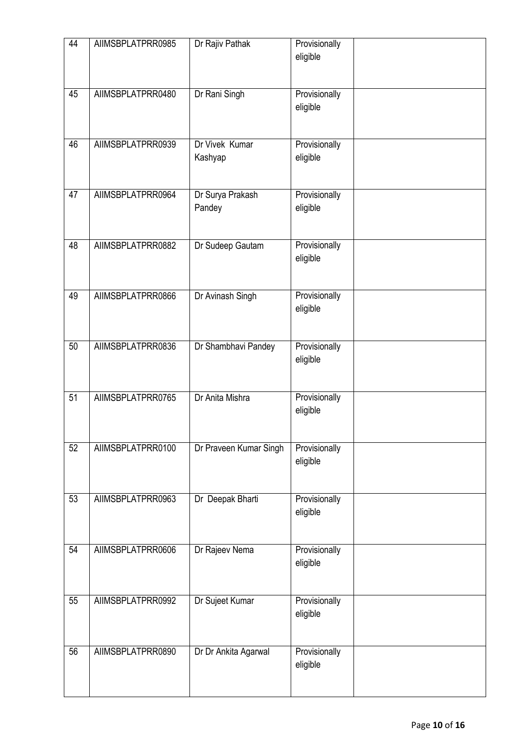| 44 | AIIMSBPLATPRR0985 | Dr Rajiv Pathak            | Provisionally<br>eligible |
|----|-------------------|----------------------------|---------------------------|
| 45 | AIIMSBPLATPRR0480 | Dr Rani Singh              | Provisionally<br>eligible |
| 46 | AIIMSBPLATPRR0939 | Dr Vivek Kumar<br>Kashyap  | Provisionally<br>eligible |
| 47 | AIIMSBPLATPRR0964 | Dr Surya Prakash<br>Pandey | Provisionally<br>eligible |
| 48 | AIIMSBPLATPRR0882 | Dr Sudeep Gautam           | Provisionally<br>eligible |
| 49 | AIIMSBPLATPRR0866 | Dr Avinash Singh           | Provisionally<br>eligible |
| 50 | AIIMSBPLATPRR0836 | Dr Shambhavi Pandey        | Provisionally<br>eligible |
| 51 | AIIMSBPLATPRR0765 | Dr Anita Mishra            | Provisionally<br>eligible |
| 52 | AIIMSBPLATPRR0100 | Dr Praveen Kumar Singh     | Provisionally<br>eligible |
| 53 | AIIMSBPLATPRR0963 | Dr Deepak Bharti           | Provisionally<br>eligible |
| 54 | AIIMSBPLATPRR0606 | Dr Rajeev Nema             | Provisionally<br>eligible |
| 55 | AIIMSBPLATPRR0992 | Dr Sujeet Kumar            | Provisionally<br>eligible |
| 56 | AIIMSBPLATPRR0890 | Dr Dr Ankita Agarwal       | Provisionally<br>eligible |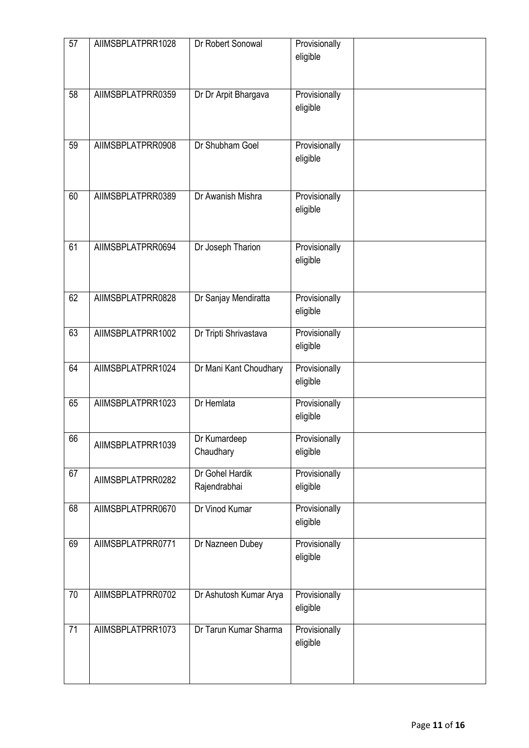| 57 | AIIMSBPLATPRR1028 | Dr Robert Sonowal               | Provisionally<br>eligible |
|----|-------------------|---------------------------------|---------------------------|
| 58 | AIIMSBPLATPRR0359 | Dr Dr Arpit Bhargava            | Provisionally<br>eligible |
| 59 | AIIMSBPLATPRR0908 | Dr Shubham Goel                 | Provisionally<br>eligible |
| 60 | AIIMSBPLATPRR0389 | Dr Awanish Mishra               | Provisionally<br>eligible |
| 61 | AIIMSBPLATPRR0694 | Dr Joseph Tharion               | Provisionally<br>eligible |
| 62 | AIIMSBPLATPRR0828 | Dr Sanjay Mendiratta            | Provisionally<br>eligible |
| 63 | AIIMSBPLATPRR1002 | Dr Tripti Shrivastava           | Provisionally<br>eligible |
| 64 | AIIMSBPLATPRR1024 | Dr Mani Kant Choudhary          | Provisionally<br>eligible |
| 65 | AIIMSBPLATPRR1023 | Dr Hemlata                      | Provisionally<br>eligible |
| 66 | AIIMSBPLATPRR1039 | Dr Kumardeep<br>Chaudhary       | Provisionally<br>eligible |
| 67 | AIIMSBPLATPRR0282 | Dr Gohel Hardik<br>Rajendrabhai | Provisionally<br>eligible |
| 68 | AIIMSBPLATPRR0670 | Dr Vinod Kumar                  | Provisionally<br>eligible |
| 69 | AIIMSBPLATPRR0771 | Dr Nazneen Dubey                | Provisionally<br>eligible |
| 70 | AIIMSBPLATPRR0702 | Dr Ashutosh Kumar Arya          | Provisionally<br>eligible |
| 71 | AIIMSBPLATPRR1073 | Dr Tarun Kumar Sharma           | Provisionally<br>eligible |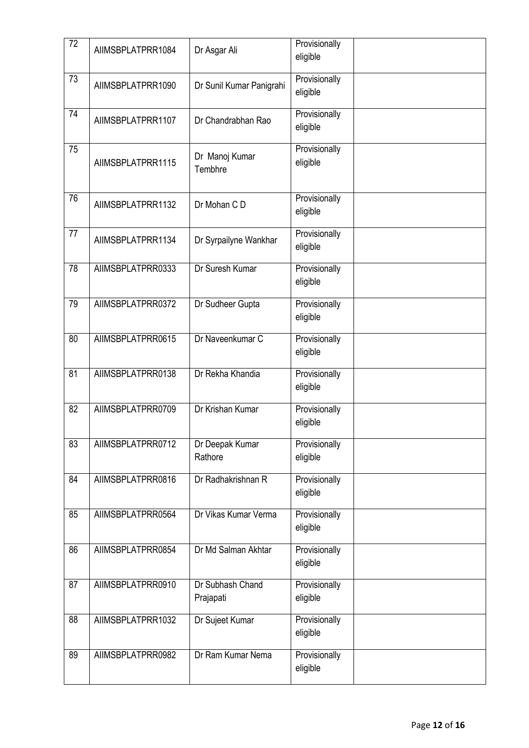| 72              | AIIMSBPLATPRR1084 | Dr Asgar Ali                  | Provisionally<br>eligible |  |
|-----------------|-------------------|-------------------------------|---------------------------|--|
| 73              | AIIMSBPLATPRR1090 | Dr Sunil Kumar Panigrahi      | Provisionally<br>eligible |  |
| 74              | AIIMSBPLATPRR1107 | Dr Chandrabhan Rao            | Provisionally<br>eligible |  |
| 75              | AIIMSBPLATPRR1115 | Dr Manoj Kumar<br>Tembhre     | Provisionally<br>eligible |  |
| 76              | AIIMSBPLATPRR1132 | Dr Mohan C D                  | Provisionally<br>eligible |  |
| 77              | AIIMSBPLATPRR1134 | Dr Syrpailyne Wankhar         | Provisionally<br>eligible |  |
| 78              | AIIMSBPLATPRR0333 | Dr Suresh Kumar               | Provisionally<br>eligible |  |
| 79              | AIIMSBPLATPRR0372 | Dr Sudheer Gupta              | Provisionally<br>eligible |  |
| 80              | AIIMSBPLATPRR0615 | Dr Naveenkumar C              | Provisionally<br>eligible |  |
| 81              | AIIMSBPLATPRR0138 | Dr Rekha Khandia              | Provisionally<br>eligible |  |
| 82              | AIIMSBPLATPRR0709 | Dr Krishan Kumar              | Provisionally<br>eligible |  |
| 83              | AIIMSBPLATPRR0712 | Dr Deepak Kumar<br>Rathore    | Provisionally<br>eligible |  |
| 84              | AIIMSBPLATPRR0816 | Dr Radhakrishnan R            | Provisionally<br>eligible |  |
| 85              | AIIMSBPLATPRR0564 | Dr Vikas Kumar Verma          | Provisionally<br>eligible |  |
| 86              | AIIMSBPLATPRR0854 | Dr Md Salman Akhtar           | Provisionally<br>eligible |  |
| $\overline{87}$ | AIIMSBPLATPRR0910 | Dr Subhash Chand<br>Prajapati | Provisionally<br>eligible |  |
| 88              | AIIMSBPLATPRR1032 | Dr Sujeet Kumar               | Provisionally<br>eligible |  |
| 89              | AIIMSBPLATPRR0982 | Dr Ram Kumar Nema             | Provisionally<br>eligible |  |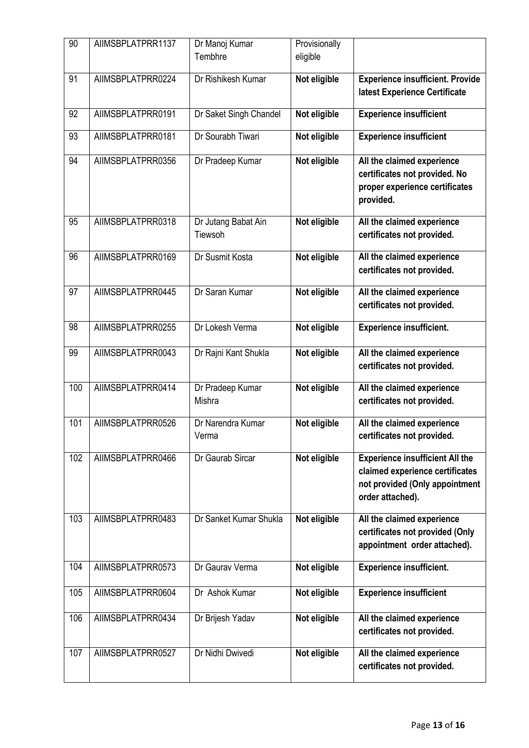| 90  | AIIMSBPLATPRR1137 | Dr Manoj Kumar                 | Provisionally |                                                                                                                                 |
|-----|-------------------|--------------------------------|---------------|---------------------------------------------------------------------------------------------------------------------------------|
|     |                   | Tembhre                        | eligible      |                                                                                                                                 |
| 91  | AIIMSBPLATPRR0224 | Dr Rishikesh Kumar             | Not eligible  | <b>Experience insufficient. Provide</b><br>latest Experience Certificate                                                        |
| 92  | AIIMSBPLATPRR0191 | Dr Saket Singh Chandel         | Not eligible  | <b>Experience insufficient</b>                                                                                                  |
| 93  | AIIMSBPLATPRR0181 | Dr Sourabh Tiwari              | Not eligible  | <b>Experience insufficient</b>                                                                                                  |
| 94  | AIIMSBPLATPRR0356 | Dr Pradeep Kumar               | Not eligible  | All the claimed experience<br>certificates not provided. No<br>proper experience certificates<br>provided.                      |
| 95  | AIIMSBPLATPRR0318 | Dr Jutang Babat Ain<br>Tiewsoh | Not eligible  | All the claimed experience<br>certificates not provided.                                                                        |
| 96  | AIIMSBPLATPRR0169 | Dr Susmit Kosta                | Not eligible  | All the claimed experience<br>certificates not provided.                                                                        |
| 97  | AIIMSBPLATPRR0445 | Dr Saran Kumar                 | Not eligible  | All the claimed experience<br>certificates not provided.                                                                        |
| 98  | AIIMSBPLATPRR0255 | Dr Lokesh Verma                | Not eligible  | <b>Experience insufficient.</b>                                                                                                 |
| 99  | AIIMSBPLATPRR0043 | Dr Rajni Kant Shukla           | Not eligible  | All the claimed experience<br>certificates not provided.                                                                        |
| 100 | AIIMSBPLATPRR0414 | Dr Pradeep Kumar<br>Mishra     | Not eligible  | All the claimed experience<br>certificates not provided.                                                                        |
| 101 | AIIMSBPLATPRR0526 | Dr Narendra Kumar<br>Verma     | Not eligible  | All the claimed experience<br>certificates not provided.                                                                        |
| 102 | AIIMSBPLATPRR0466 | Dr Gaurab Sircar               | Not eligible  | <b>Experience insufficient All the</b><br>claimed experience certificates<br>not provided (Only appointment<br>order attached). |
| 103 | AIIMSBPLATPRR0483 | Dr Sanket Kumar Shukla         | Not eligible  | All the claimed experience<br>certificates not provided (Only<br>appointment order attached).                                   |
| 104 | AIIMSBPLATPRR0573 | Dr Gaurav Verma                | Not eligible  | <b>Experience insufficient.</b>                                                                                                 |
| 105 | AIIMSBPLATPRR0604 | Dr Ashok Kumar                 | Not eligible  | <b>Experience insufficient</b>                                                                                                  |
| 106 | AIIMSBPLATPRR0434 | Dr Brijesh Yadav               | Not eligible  | All the claimed experience<br>certificates not provided.                                                                        |
| 107 | AIIMSBPLATPRR0527 | Dr Nidhi Dwivedi               | Not eligible  | All the claimed experience<br>certificates not provided.                                                                        |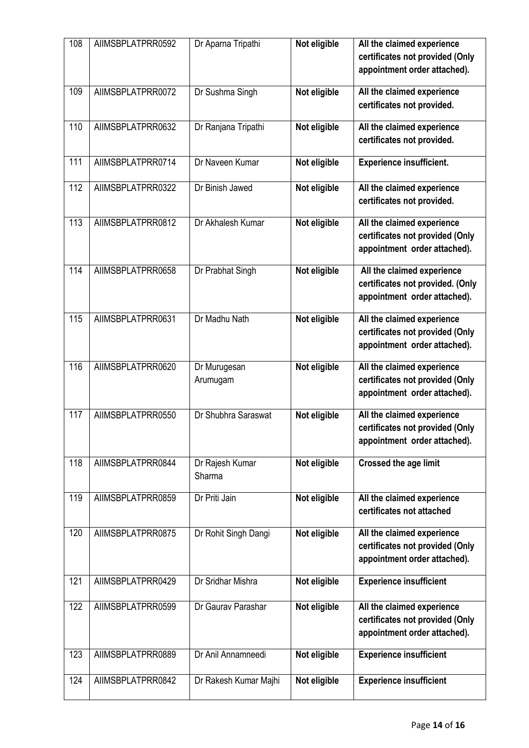| 108 | AIIMSBPLATPRR0592 | Dr Aparna Tripathi        | Not eligible | All the claimed experience<br>certificates not provided (Only<br>appointment order attached).  |
|-----|-------------------|---------------------------|--------------|------------------------------------------------------------------------------------------------|
| 109 | AIIMSBPLATPRR0072 | Dr Sushma Singh           | Not eligible | All the claimed experience<br>certificates not provided.                                       |
| 110 | AIIMSBPLATPRR0632 | Dr Ranjana Tripathi       | Not eligible | All the claimed experience<br>certificates not provided.                                       |
| 111 | AIIMSBPLATPRR0714 | Dr Naveen Kumar           | Not eligible | <b>Experience insufficient.</b>                                                                |
| 112 | AIIMSBPLATPRR0322 | Dr Binish Jawed           | Not eligible | All the claimed experience<br>certificates not provided.                                       |
| 113 | AIIMSBPLATPRR0812 | Dr Akhalesh Kumar         | Not eligible | All the claimed experience<br>certificates not provided (Only<br>appointment order attached).  |
| 114 | AIIMSBPLATPRR0658 | Dr Prabhat Singh          | Not eligible | All the claimed experience<br>certificates not provided. (Only<br>appointment order attached). |
| 115 | AIIMSBPLATPRR0631 | Dr Madhu Nath             | Not eligible | All the claimed experience<br>certificates not provided (Only<br>appointment order attached).  |
| 116 | AIIMSBPLATPRR0620 | Dr Murugesan<br>Arumugam  | Not eligible | All the claimed experience<br>certificates not provided (Only<br>appointment order attached).  |
| 117 | AIIMSBPLATPRR0550 | Dr Shubhra Saraswat       | Not eligible | All the claimed experience<br>certificates not provided (Only<br>appointment order attached).  |
| 118 | AIIMSBPLATPRR0844 | Dr Rajesh Kumar<br>Sharma | Not eligible | <b>Crossed the age limit</b>                                                                   |
| 119 | AIIMSBPLATPRR0859 | Dr Priti Jain             | Not eligible | All the claimed experience<br>certificates not attached                                        |
| 120 | AIIMSBPLATPRR0875 | Dr Rohit Singh Dangi      | Not eligible | All the claimed experience<br>certificates not provided (Only<br>appointment order attached).  |
| 121 | AIIMSBPLATPRR0429 | Dr Sridhar Mishra         | Not eligible | <b>Experience insufficient</b>                                                                 |
| 122 | AIIMSBPLATPRR0599 | Dr Gaurav Parashar        | Not eligible | All the claimed experience<br>certificates not provided (Only<br>appointment order attached).  |
| 123 | AIIMSBPLATPRR0889 | Dr Anil Annamneedi        | Not eligible | <b>Experience insufficient</b>                                                                 |
| 124 | AIIMSBPLATPRR0842 | Dr Rakesh Kumar Majhi     | Not eligible | <b>Experience insufficient</b>                                                                 |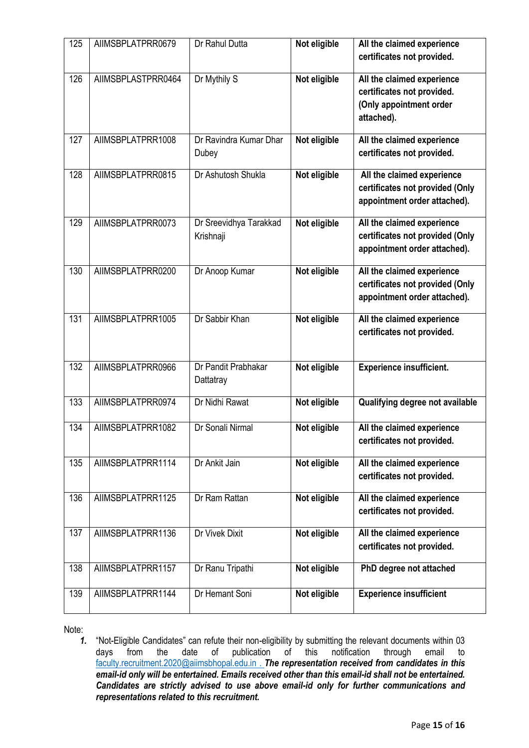| 125 | AIIMSBPLATPRR0679  | Dr Rahul Dutta                      | Not eligible | All the claimed experience<br>certificates not provided.                                          |
|-----|--------------------|-------------------------------------|--------------|---------------------------------------------------------------------------------------------------|
| 126 | AIIMSBPLASTPRR0464 | Dr Mythily S                        | Not eligible | All the claimed experience<br>certificates not provided.<br>(Only appointment order<br>attached). |
| 127 | AIIMSBPLATPRR1008  | Dr Ravindra Kumar Dhar<br>Dubey     | Not eligible | All the claimed experience<br>certificates not provided.                                          |
| 128 | AIIMSBPLATPRR0815  | Dr Ashutosh Shukla                  | Not eligible | All the claimed experience<br>certificates not provided (Only<br>appointment order attached).     |
| 129 | AIIMSBPLATPRR0073  | Dr Sreevidhya Tarakkad<br>Krishnaji | Not eligible | All the claimed experience<br>certificates not provided (Only<br>appointment order attached).     |
| 130 | AIIMSBPLATPRR0200  | Dr Anoop Kumar                      | Not eligible | All the claimed experience<br>certificates not provided (Only<br>appointment order attached).     |
| 131 | AIIMSBPLATPRR1005  | Dr Sabbir Khan                      | Not eligible | All the claimed experience<br>certificates not provided.                                          |
| 132 | AIIMSBPLATPRR0966  | Dr Pandit Prabhakar<br>Dattatray    | Not eligible | <b>Experience insufficient.</b>                                                                   |
| 133 | AIIMSBPLATPRR0974  | Dr Nidhi Rawat                      | Not eligible | Qualifying degree not available                                                                   |
| 134 | AIIMSBPLATPRR1082  | Dr Sonali Nirmal                    | Not eligible | All the claimed experience<br>certificates not provided.                                          |
| 135 | AIIMSBPLATPRR1114  | Dr Ankit Jain                       | Not eligible | All the claimed experience<br>certificates not provided.                                          |
| 136 | AIIMSBPLATPRR1125  | Dr Ram Rattan                       | Not eligible | All the claimed experience<br>certificates not provided.                                          |
| 137 | AIIMSBPLATPRR1136  | Dr Vivek Dixit                      | Not eligible | All the claimed experience<br>certificates not provided.                                          |
| 138 | AIIMSBPLATPRR1157  | Dr Ranu Tripathi                    | Not eligible | PhD degree not attached                                                                           |
| 139 | AIIMSBPLATPRR1144  | Dr Hemant Soni                      | Not eligible | <b>Experience insufficient</b>                                                                    |

Note:

*<sup>1.</sup>* "Not-Eligible Candidates" can refute their non-eligibility by submitting the relevant documents within 03 days from the date of publication of this notification through email to [faculty.recruitment.2020@aiimsbhopal.edu.in](mailto:faculty.recruitment.2020@aiimsbhopal.edu.in) . *The representation received from candidates in this email-id only will be entertained. Emails received other than this email-id shall not be entertained. Candidates are strictly advised to use above email-id only for further communications and representations related to this recruitment.*